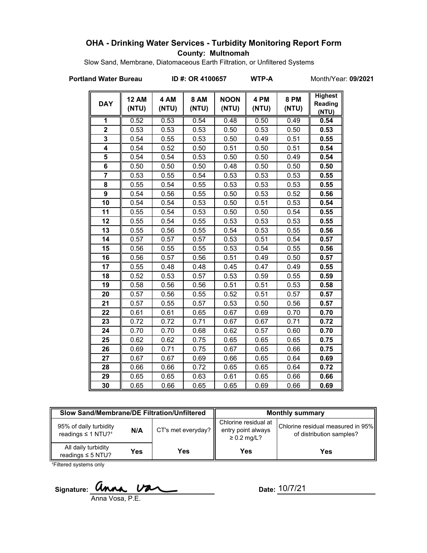### **OHA - Drinking Water Services - Turbidity Monitoring Report Form County: Multnomah**

Slow Sand, Membrane, Diatomaceous Earth Filtration, or Unfiltered Systems

**Portland Water Bureau ID #: OR 4100657 WTP-A** Month/Year: **09/2021**

| <b>DAY</b>     | <b>12 AM</b><br>(NTU) | 4 AM<br>(NTU) | <b>8 AM</b><br>(NTU) | <b>NOON</b><br>(NTU) | 4 PM<br>(NTU) | <b>8 PM</b><br>(NTU) | <b>Highest</b><br>Reading<br>(NTU) |
|----------------|-----------------------|---------------|----------------------|----------------------|---------------|----------------------|------------------------------------|
| 1              | 0.52                  | 0.53          | 0.54                 | 0.48                 | 0.50          | 0.49                 | 0.54                               |
| $\overline{2}$ | 0.53                  | 0.53          | 0.53                 | 0.50                 | 0.53          | 0.50                 | 0.53                               |
| 3              | 0.54                  | 0.55          | 0.53                 | 0.50                 | 0.49          | 0.51                 | 0.55                               |
| 4              | 0.54                  | 0.52          | 0.50                 | 0.51                 | 0.50          | 0.51                 | 0.54                               |
| 5              | 0.54                  | 0.54          | 0.53                 | 0.50                 | 0.50          | 0.49                 | 0.54                               |
| 6              | 0.50                  | 0.50          | 0.50                 | 0.48                 | 0.50          | 0.50                 | 0.50                               |
| $\overline{7}$ | 0.53                  | 0.55          | 0.54                 | 0.53                 | 0.53          | 0.53                 | 0.55                               |
| 8              | 0.55                  | 0.54          | 0.55                 | 0.53                 | 0.53          | 0.53                 | 0.55                               |
| $\overline{9}$ | 0.54                  | 0.56          | 0.55                 | 0.50                 | 0.53          | 0.52                 | 0.56                               |
| 10             | 0.54                  | 0.54          | 0.53                 | 0.50                 | 0.51          | 0.53                 | 0.54                               |
| 11             | 0.55                  | 0.54          | 0.53                 | 0.50                 | 0.50          | 0.54                 | 0.55                               |
| 12             | 0.55                  | 0.54          | 0.55                 | 0.53                 | 0.53          | 0.53                 | 0.55                               |
| 13             | 0.55                  | 0.56          | 0.55                 | 0.54                 | 0.53          | 0.55                 | 0.56                               |
| 14             | 0.57                  | 0.57          | 0.57                 | 0.53                 | 0.51          | 0.54                 | 0.57                               |
| 15             | 0.56                  | 0.55          | 0.55                 | 0.53                 | 0.54          | 0.55                 | 0.56                               |
| 16             | 0.56                  | 0.57          | 0.56                 | 0.51                 | 0.49          | 0.50                 | 0.57                               |
| 17             | 0.55                  | 0.48          | 0.48                 | 0.45                 | 0.47          | 0.49                 | 0.55                               |
| 18             | 0.52                  | 0.53          | 0.57                 | 0.53                 | 0.59          | 0.55                 | 0.59                               |
| 19             | 0.58                  | 0.56          | 0.56                 | 0.51                 | 0.51          | 0.53                 | 0.58                               |
| 20             | 0.57                  | 0.56          | 0.55                 | 0.52                 | 0.51          | 0.57                 | 0.57                               |
| 21             | 0.57                  | 0.55          | 0.57                 | 0.53                 | 0.50          | 0.56                 | 0.57                               |
| 22             | 0.61                  | 0.61          | 0.65                 | 0.67                 | 0.69          | 0.70                 | 0.70                               |
| 23             | 0.72                  | 0.72          | 0.71                 | 0.67                 | 0.67          | 0.71                 | 0.72                               |
| 24             | 0.70                  | 0.70          | 0.68                 | 0.62                 | 0.57          | 0.60                 | 0.70                               |
| 25             | 0.62                  | 0.62          | 0.75                 | 0.65                 | 0.65          | 0.65                 | 0.75                               |
| 26             | 0.69                  | 0.71          | 0.75                 | 0.67                 | 0.65          | 0.66                 | 0.75                               |
| 27             | 0.67                  | 0.67          | 0.69                 | 0.66                 | 0.65          | 0.64                 | 0.69                               |
| 28             | 0.66                  | 0.66          | 0.72                 | 0.65                 | 0.65          | 0.64                 | 0.72                               |
| 29             | 0.65                  | 0.65          | 0.63                 | 0.61                 | 0.65          | 0.66                 | 0.66                               |
| 30             | 0.65                  | 0.66          | 0.65                 | 0.65                 | 0.69          | 0.66                 | 0.69                               |

| Slow Sand/Membrane/DE Filtration/Unfiltered                          |     |                    | <b>Monthly summary</b>                                         |                                                               |  |
|----------------------------------------------------------------------|-----|--------------------|----------------------------------------------------------------|---------------------------------------------------------------|--|
| 95% of daily turbidity<br>N/A<br>readings $\leq 1$ NTU? <sup>1</sup> |     | CT's met everyday? | Chlorine residual at<br>entry point always<br>$\geq 0.2$ mg/L? | Chlorine residual measured in 95%<br>of distribution samples? |  |
| All daily turbidity<br>readings $\leq$ 5 NTU?                        | Yes | Yes                | Yes                                                            | Yes                                                           |  |

<sup>1</sup>Filtered systems only

Signature: **Ua** Anna Vosa, P.E.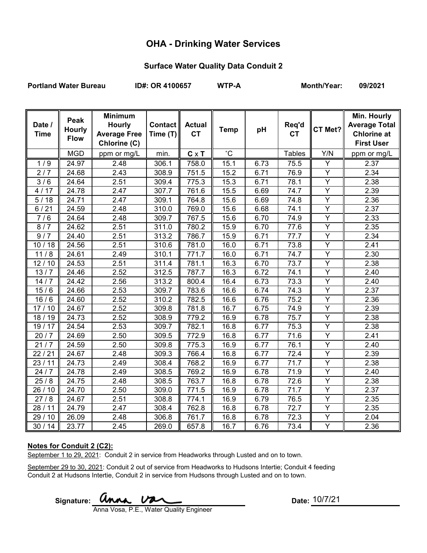## **OHA - Drinking Water Services**

#### **Surface Water Quality Data Conduit 2**

Portland Water Bureau **ID#: OR 4100657** WTP-A Month/Year: 09/2021

| Date /<br><b>Time</b> | Peak<br><b>Hourly</b><br><b>Flow</b> | <b>Minimum</b><br><b>Hourly</b><br><b>Average Free</b><br>Chlorine (C) | <b>Contact</b><br>Time (T) | <b>Actual</b><br><b>CT</b> | <b>Temp</b>     | pH   | Req'd<br><b>CT</b> | CT Met?        | Min. Hourly<br><b>Average Total</b><br><b>Chlorine at</b><br><b>First User</b> |
|-----------------------|--------------------------------------|------------------------------------------------------------------------|----------------------------|----------------------------|-----------------|------|--------------------|----------------|--------------------------------------------------------------------------------|
|                       | <b>MGD</b>                           | ppm or mg/L                                                            | min.                       | $C \times T$               | $\rm ^{\circ}C$ |      | <b>Tables</b>      | Y/N            | ppm or mg/L                                                                    |
| 1/9                   | 24.97                                | 2.48                                                                   | 306.1                      | 758.0                      | 15.1            | 6.73 | 75.5               | Y              | 2.37                                                                           |
| 2/7                   | 24.68                                | 2.43                                                                   | 308.9                      | 751.5                      | 15.2            | 6.71 | 76.9               | Υ              | 2.34                                                                           |
| 3/6                   | 24.64                                | 2.51                                                                   | 309.4                      | 775.3                      | 15.3            | 6.71 | 78.1               | Y              | 2.38                                                                           |
| 4/17                  | 24.78                                | 2.47                                                                   | 307.7                      | 761.6                      | 15.5            | 6.69 | 74.7               | Y              | 2.39                                                                           |
| 5/18                  | 24.71                                | 2.47                                                                   | 309.1                      | 764.8                      | 15.6            | 6.69 | 74.8               | $\overline{Y}$ | 2.36                                                                           |
| 6/21                  | 24.59                                | 2.48                                                                   | 310.0                      | 769.0                      | 15.6            | 6.68 | 74.1               | $\overline{Y}$ | 2.37                                                                           |
| 7/6                   | 24.64                                | 2.48                                                                   | 309.7                      | 767.5                      | 15.6            | 6.70 | 74.9               | Y              | 2.33                                                                           |
| 8/7                   | 24.62                                | 2.51                                                                   | 311.0                      | 780.2                      | 15.9            | 6.70 | 77.6               | $\overline{Y}$ | 2.35                                                                           |
| 9/7                   | 24.40                                | 2.51                                                                   | 313.2                      | 786.7                      | 15.9            | 6.71 | 77.7               | Y              | 2.34                                                                           |
| 10/18                 | 24.56                                | 2.51                                                                   | 310.6                      | 781.0                      | 16.0            | 6.71 | 73.8               | $\overline{Y}$ | 2.41                                                                           |
| 11/8                  | 24.61                                | 2.49                                                                   | 310.1                      | 771.7                      | 16.0            | 6.71 | 74.7               | Υ              | 2.30                                                                           |
| 12/10                 | 24.53                                | 2.51                                                                   | 311.4                      | 781.1                      | 16.3            | 6.70 | 73.7               | $\overline{Y}$ | 2.38                                                                           |
| 13/7                  | 24.46                                | 2.52                                                                   | 312.5                      | 787.7                      | 16.3            | 6.72 | 74.1               | Y              | 2.40                                                                           |
| 14/7                  | 24.42                                | 2.56                                                                   | 313.2                      | 800.4                      | 16.4            | 6.73 | 73.3               | $\overline{Y}$ | 2.40                                                                           |
| 15/6                  | 24.66                                | 2.53                                                                   | 309.7                      | 783.6                      | 16.6            | 6.74 | 74.3               | Υ              | 2.37                                                                           |
| 16/6                  | 24.60                                | 2.52                                                                   | 310.2                      | 782.5                      | 16.6            | 6.76 | 75.2               | $\overline{Y}$ | 2.36                                                                           |
| 17/10                 | 24.67                                | 2.52                                                                   | 309.8                      | 781.8                      | 16.7            | 6.75 | 74.9               | $\overline{Y}$ | 2.39                                                                           |
| 18/19                 | 24.73                                | 2.52                                                                   | 308.9                      | 779.2                      | 16.9            | 6.78 | 75.7               | Y              | 2.38                                                                           |
| 19/17                 | 24.54                                | 2.53                                                                   | 309.7                      | 782.1                      | 16.8            | 6.77 | 75.3               | $\overline{Y}$ | 2.38                                                                           |
| 20/7                  | 24.69                                | 2.50                                                                   | 309.5                      | 772.9                      | 16.8            | 6.77 | 71.6               | Y              | 2.41                                                                           |
| 21/7                  | 24.59                                | 2.50                                                                   | 309.8                      | 775.3                      | 16.9            | 6.77 | 76.1               | $\overline{Y}$ | 2.40                                                                           |
| 22/21                 | 24.67                                | 2.48                                                                   | 309.3                      | 766.4                      | 16.8            | 6.77 | 72.4               | Y              | 2.39                                                                           |
| 23/11                 | $\sqrt{24.73}$                       | 2.49                                                                   | 308.4                      | 768.2                      | 16.9            | 6.77 | 71.7               | $\overline{Y}$ | 2.38                                                                           |
| 24/7                  | 24.78                                | 2.49                                                                   | 308.5                      | 769.2                      | 16.9            | 6.78 | 71.9               | $\overline{Y}$ | 2.40                                                                           |
| 25/8                  | 24.75                                | 2.48                                                                   | 308.5                      | 763.7                      | 16.8            | 6.78 | 72.6               | $\overline{Y}$ | 2.38                                                                           |
| 26 / 10               | 24.70                                | 2.50                                                                   | 309.0                      | 771.5                      | 16.9            | 6.78 | 71.7               | Υ              | 2.37                                                                           |
| 27/8                  | 24.67                                | 2.51                                                                   | 308.8                      | 774.1                      | 16.9            | 6.79 | 76.5               | Y              | 2.35                                                                           |
| 28/11                 | 24.79                                | 2.47                                                                   | 308.4                      | 762.8                      | 16.8            | 6.78 | $\overline{72}.7$  | Y              | 2.35                                                                           |
| 29 / 10               | 26.09                                | 2.48                                                                   | 306.8                      | 761.7                      | 16.8            | 6.78 | 72.3               | Y              | 2.04                                                                           |
| 30/14                 | 23.77                                | 2.45                                                                   | 269.0                      | 657.8                      | 16.7            | 6.76 | 73.4               | $\overline{Y}$ | 2.36                                                                           |

#### **Notes for Conduit 2 (C2):**

September 1 to 29, 2021: Conduit 2 in service from Headworks through Lusted and on to town.

September 29 to 30, 2021: Conduit 2 out of service from Headworks to Hudsons Intertie; Conduit 4 feeding Conduit 2 at Hudsons Intertie, Conduit 2 in service from Hudsons through Lusted and on to town.

 $Signature:$ 

Anna Vosa, P.E., Water Quality Engineer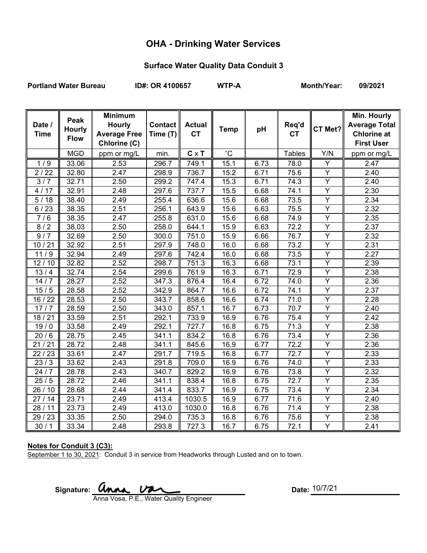# **OHA - Drinking Water Services**

### **Surface Water Quality Data Conduit 3**

Portland Water Bureau **ID#: OR 4100657** WTP-A Month/Year: 09/2021

| Date /<br><b>Time</b> | Peak<br><b>Hourly</b><br><b>Flow</b> | <b>Minimum</b><br><b>Hourly</b><br><b>Average Free</b><br>Chlorine (C) | <b>Contact</b><br>Time (T) | <b>Actual</b><br><b>CT</b> | <b>Temp</b>     | pH   | Req'd<br><b>CT</b> | CT Met?        | Min. Hourly<br><b>Average Total</b><br><b>Chlorine at</b><br><b>First User</b> |
|-----------------------|--------------------------------------|------------------------------------------------------------------------|----------------------------|----------------------------|-----------------|------|--------------------|----------------|--------------------------------------------------------------------------------|
|                       | <b>MGD</b>                           | ppm or mg/L                                                            | min.                       | $C \times T$               | $\rm ^{\circ}C$ |      | <b>Tables</b>      | Y/N            | ppm or mg/L                                                                    |
| 1/9                   | 33.06                                | 2.53                                                                   | 296.7                      | 749.1                      | 15.1            | 6.73 | 78.0               | Ÿ              | 2.47                                                                           |
| 2/22                  | 32.80                                | 2.47                                                                   | 298.9                      | 736.7                      | 15.2            | 6.71 | 75.6               | Y              | 2.40                                                                           |
| 3/7                   | 32.71                                | 2.50                                                                   | 299.2                      | 747.4                      | 15.3            | 6.71 | 74.3               | Y              | 2.40                                                                           |
| 4/17                  | 32.91                                | 2.48                                                                   | 297.6                      | 737.7                      | 15.5            | 6.68 | 74.1               | Y              | 2.30                                                                           |
| 5/18                  | 38.40                                | 2.49                                                                   | 255.4                      | 636.6                      | 15.6            | 6.68 | 73.5               | $\overline{Y}$ | 2.34                                                                           |
| 6/23                  | 38.35                                | 2.51                                                                   | 256.1                      | 643.9                      | 15.6            | 6.63 | 75.5               | Y              | 2.32                                                                           |
| 7/6                   | 38.35                                | 2.47                                                                   | 255.8                      | 631.0                      | 15.6            | 6.68 | 74.9               | $\overline{Y}$ | 2.35                                                                           |
| 8/2                   | 38.03                                | 2.50                                                                   | 258.0                      | 644.1                      | 15.9            | 6.63 | 72.2               | Y              | 2.37                                                                           |
| 9/7                   | 32.69                                | 2.50                                                                   | 300.0                      | 751.0                      | 15.9            | 6.66 | 76.7               | $\overline{Y}$ | 2.32                                                                           |
| 10/21                 | 32.92                                | 2.51                                                                   | 297.9                      | 748.0                      | 16.0            | 6.68 | 73.2               | Y              | 2.31                                                                           |
| 11/9                  | 32.94                                | 2.49                                                                   | 297.6                      | 742.4                      | 16.0            | 6.68 | 73.5               | $\overline{Y}$ | 2.27                                                                           |
| 12/10                 | 32.82                                | 2.52                                                                   | 298.7                      | 751.3                      | 16.3            | 6.68 | 73.1               | Y              | 2.39                                                                           |
| 13/4                  | 32.74                                | 2.54                                                                   | 299.6                      | 761.9                      | 16.3            | 6.71 | 72.9               | $\overline{Y}$ | 2.38                                                                           |
| 14/7                  | 28.27                                | 2.52                                                                   | 347.3                      | 876.4                      | 16.4            | 6.72 | 74.0               | Y              | 2.36                                                                           |
| 15/5                  | 28.58                                | 2.52                                                                   | 342.9                      | 864.7                      | 16.6            | 6.72 | 74.1               | Υ              | 2.37                                                                           |
| 16 / 22               | 28.53                                | 2.50                                                                   | 343.7                      | 858.6                      | 16.6            | 6.74 | 71.0               | $\overline{Y}$ | 2.28                                                                           |
| 17/7                  | 28.59                                | 2.50                                                                   | 343.0                      | 857.1                      | 16.7            | 6.73 | 70.7               | Y              | 2.40                                                                           |
| 18/21                 | 33.59                                | 2.51                                                                   | 292.1                      | 733.9                      | 16.9            | 6.76 | 75.4               | Y              | 2.42                                                                           |
| 19/0                  | 33.58                                | 2.49                                                                   | 292.1                      | 727.7                      | 16.8            | 6.75 | 71.3               | Y              | 2.38                                                                           |
| 20/6                  | 28.75                                | 2.45                                                                   | 341.1                      | 834.2                      | 16.8            | 6.76 | 73.4               | Y              | 2.36                                                                           |
| 21/21                 | 28.72                                | 2.48                                                                   | 341.1                      | 845.6                      | 16.9            | 6.77 | 72.2               | $\overline{Y}$ | 2.36                                                                           |
| 22/23                 | 33.61                                | 2.47                                                                   | 291.7                      | 719.5                      | 16.8            | 6.77 | 72.7               | $\overline{Y}$ | 2.33                                                                           |
| 23/3                  | 33.62                                | 2.43                                                                   | 291.8                      | 709.0                      | 16.9            | 6.76 | 74.0               | $\overline{Y}$ | 2.33                                                                           |
| 24/7                  | 28.78                                | 2.43                                                                   | 340.7                      | 829.2                      | 16.9            | 6.76 | 73.8               | $\overline{Y}$ | 2.32                                                                           |
| 25/5                  | 28.72                                | 2.46                                                                   | 341.1                      | 838.4                      | 16.8            | 6.75 | 72.7               | Ÿ              | 2.35                                                                           |
| 26/10                 | 28.68                                | 2.44                                                                   | 341.4                      | 833.7                      | 16.9            | 6.75 | 73.4               | Y              | 2.34                                                                           |
| 27/14                 | 23.71                                | 2.49                                                                   | 413.4                      | 1030.5                     | 16.9            | 6.77 | 71.6               | Y              | 2.40                                                                           |
| 28/11                 | 23.73                                | 2.49                                                                   | 413.0                      | 1030.0                     | 16.8            | 6.76 | 71.4               | Y              | 2.38                                                                           |
| 29 / 23               | 33.35                                | 2.50                                                                   | 294.0                      | 735.3                      | 16.8            | 6.76 | 75.6               | Υ              | 2.38                                                                           |
| 30/1                  | 33.34                                | 2.48                                                                   | 293.8                      | 727.3                      | 16.7            | 6.75 | 72.1               | Y              | 2.41                                                                           |

### **Notes for Conduit 3 (C3):**

September 1 to 30, 2021: Conduit 3 in service from Headworks through Lusted and on to town.

Signature: **UNAL DELLET CONTRACT DELL'SCOTT DATE:** 

Anna Vosa, P.E., Water Quality Engineer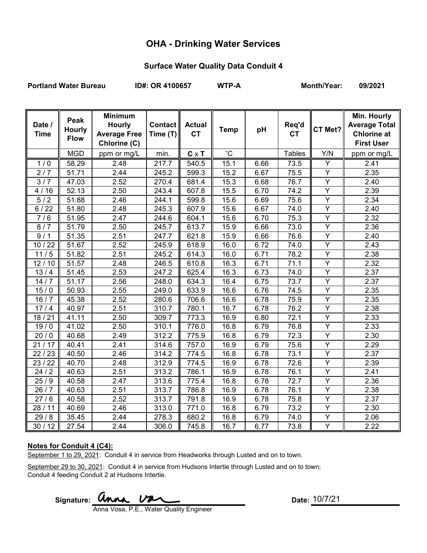## **OHA - Drinking Water Services**

# **Surface Water Quality Data Conduit 4**

Portland Water Bureau **ID#: OR 4100657** WTP-A Month/Year: 09/2021

| Date /<br><b>Time</b> | Peak<br><b>Hourly</b><br><b>Flow</b> | <b>Minimum</b><br><b>Hourly</b><br><b>Average Free</b><br>Chlorine (C) | <b>Contact</b><br>Time (T) | <b>Actual</b><br><b>CT</b> | <b>Temp</b>     | pH   | Req'd<br><b>CT</b> | CT Met?                 | Min. Hourly<br><b>Average Total</b><br><b>Chlorine at</b><br><b>First User</b> |
|-----------------------|--------------------------------------|------------------------------------------------------------------------|----------------------------|----------------------------|-----------------|------|--------------------|-------------------------|--------------------------------------------------------------------------------|
|                       | <b>MGD</b>                           | ppm or mg/L                                                            | min.                       | $C \times T$               | $\rm ^{\circ}C$ |      | <b>Tables</b>      | Y/N                     | ppm or mg/L                                                                    |
| $\overline{1/0}$      | 58.29                                | 2.48                                                                   | $\overline{2}17.7$         | 540.5                      | 15.1            | 6.66 | 73.5               | $\overline{\mathsf{Y}}$ | 2.41                                                                           |
| 2/7                   | 51.71                                | 2.44                                                                   | 245.2                      | 599.3                      | 15.2            | 6.67 | 75.5               | Y                       | 2.35                                                                           |
| 3/7                   | 47.03                                | 2.52                                                                   | 270.4                      | 681.4                      | 15.3            | 6.68 | 76.7               | Y                       | 2.40                                                                           |
| 4/16                  | 52.13                                | 2.50                                                                   | 243.4                      | 607.8                      | 15.5            | 6.70 | 74.2               | $\overline{Y}$          | 2.39                                                                           |
| 5/2                   | 51.88                                | 2.46                                                                   | 244.1                      | 599.8                      | 15.6            | 6.69 | 75.6               | Y                       | 2.34                                                                           |
| 6/22                  | 51.80                                | 2.48                                                                   | 245.3                      | 607.9                      | 15.6            | 6.67 | 74.0               | Y                       | 2.40                                                                           |
| 7/6                   | 51.95                                | 2.47                                                                   | 244.6                      | 604.1                      | 15.6            | 6.70 | 75.3               | Y                       | 2.32                                                                           |
| 8/7                   | 51.79                                | 2.50                                                                   | 245.7                      | 613.7                      | 15.9            | 6.66 | 73.0               | $\overline{Y}$          | 2.36                                                                           |
| 9/1                   | 51.35                                | 2.51                                                                   | 247.7                      | 621.8                      | 15.9            | 6.66 | 76.6               | Υ                       | 2.40                                                                           |
| 10/22                 | 51.67                                | 2.52                                                                   | 245.9                      | 618.9                      | 16.0            | 6.72 | 74.0               | $\overline{Y}$          | 2.43                                                                           |
| 11/5                  | 51.82                                | 2.51                                                                   | 245.2                      | 614.3                      | 16.0            | 6.71 | 78.2               | Υ                       | 2.38                                                                           |
| 12/10                 | 51.57                                | 2.48                                                                   | 246.5                      | 610.8                      | 16.3            | 6.71 | 71.1               | $\overline{Y}$          | 2.32                                                                           |
| 13/4                  | 51.45                                | 2.53                                                                   | 247.2                      | 625.4                      | 16.3            | 6.73 | 74.0               | Y                       | 2.37                                                                           |
| 14/7                  | 51.17                                | 2.56                                                                   | 248.0                      | 634.3                      | 16.4            | 6.75 | 73.7               | $\overline{Y}$          | 2.37                                                                           |
| 15/0                  | 50.93                                | 2.55                                                                   | 249.0                      | 633.9                      | 16.6            | 6.76 | 74.5               | Υ                       | 2.35                                                                           |
| 16/7                  | 45.38                                | 2.52                                                                   | 280.6                      | 706.6                      | 16.6            | 6.78 | 75.9               | $\overline{Y}$          | 2.35                                                                           |
| 17/4                  | 40.97                                | 2.51                                                                   | 310.7                      | 780.1                      | 16.7            | 6.78 | 76.2               | $\overline{Y}$          | 2.38                                                                           |
| 18/21                 | 41.11                                | 2.50                                                                   | 309.7                      | 773.3                      | 16.9            | 6.80 | 72.1               | Υ                       | 2.33                                                                           |
| $\frac{1}{19}$ / 0    | 41.02                                | 2.50                                                                   | 310.1                      | 776.0                      | 16.8            | 6.79 | 76.8               | $\overline{Y}$          | 2.33                                                                           |
| 20/0                  | 40.68                                | 2.49                                                                   | 312.2                      | 775.9                      | 16.8            | 6.79 | 72.3               | Y                       | 2.30                                                                           |
| 21/17                 | 40.41                                | 2.41                                                                   | 314.6                      | 757.0                      | 16.9            | 6.79 | 75.6               | $\overline{Y}$          | 2.29                                                                           |
| 22/23                 | 40.50                                | 2.46                                                                   | 314.2                      | 774.5                      | 16.8            | 6.78 | 73.1               | Y                       | 2.37                                                                           |
| 23 / 22               | 40.70                                | 2.48                                                                   | 312.9                      | 774.5                      | 16.9            | 6.78 | 72.6               | $\overline{Y}$          | 2.39                                                                           |
| 24/2                  | 40.63                                | 2.51                                                                   | 313.2                      | 786.1                      | 16.9            | 6.78 | 76.1               | $\overline{Y}$          | 2.41                                                                           |
| 25/9                  | 40.58                                | 2.47                                                                   | 313.6                      | 775.4                      | 16.8            | 6.78 | 72.7               | $\overline{Y}$          | 2.36                                                                           |
| 26/7                  | 40.63                                | 2.51                                                                   | 313.7                      | 786.8                      | 16.9            | 6.78 | 76.1               | Y                       | 2.38                                                                           |
| 27/6                  | 40.58                                | 2.52                                                                   | 313.7                      | 791.8                      | 16.9            | 6.78 | 75.8               | Y                       | 2.37                                                                           |
| 28/11                 | 40.69                                | 2.46                                                                   | 313.0                      | 771.0                      | 16.8            | 6.79 | 73.2               | Y                       | 2.30                                                                           |
| 29/8                  | 35.45                                | 2.44                                                                   | 278.3                      | 680.2                      | 16.8            | 6.79 | 74.0               | Y                       | 2.06                                                                           |
| 30/12                 | 27.54                                | 2.44                                                                   | 306.0                      | 745.8                      | 16.7            | 6.77 | 73.8               | $\overline{Y}$          | 2.22                                                                           |

#### **Notes for Conduit 4 (C4):**

September 1 to 29, 2021: Conduit 4 in service from Headworks through Lusted and on to town.

September 29 to 30, 2021: Conduit 4 in service from Hudsons Intertie through Lusted and on to town; Conduit 4 feeding Conduit 2 at Hudsons Intertie.

Signature: *anna* van

Anna Vosa, P.E., Water Quality Engineer